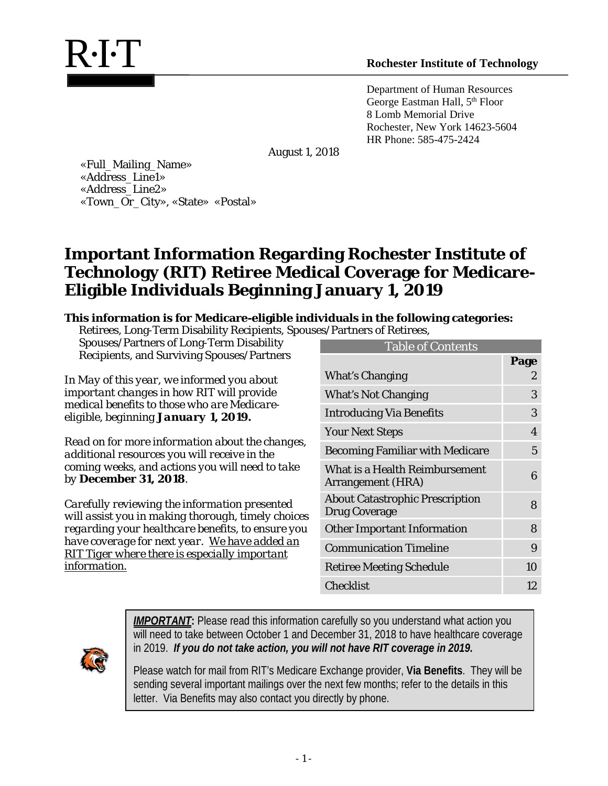Department of Human Resources George Eastman Hall, 5<sup>th</sup> Floor 8 Lomb Memorial Drive Rochester, New York 14623-5604 HR Phone: 585-475-2424

August 1, 2018

 «Full\_Mailing\_Name» «Address\_Line1» «Address\_Line2» «Town\_Or\_City», «State» «Postal»

# **Important Information Regarding Rochester Institute of Technology (RIT) Retiree Medical Coverage for Medicare-Eligible Individuals Beginning January 1, 2019**

#### **This information is for Medicare-eligible individuals in the following categories:**

Retirees, Long-Term Disability Recipients, Spouses/Partners of Retirees,

Spouses/Partners of Long-Term Disability Recipients, and Surviving Spouses/Partners

*In May of this year, we informed you about important changes in how RIT will provide medical benefits to those who are Medicareeligible, beginning January 1, 2019.*

*Read on for more information about the changes, additional resources you will receive in the coming weeks, and actions you will need to take by December 31, 2018.* 

*Carefully reviewing the information presented will assist you in making thorough, timely choices regarding your healthcare benefits, to ensure you have coverage for next year. We have added an RIT Tiger where there is especially important information.*

| <b>Table of Contents</b>                                       |      |  |
|----------------------------------------------------------------|------|--|
|                                                                | Page |  |
| What's Changing                                                | 2    |  |
| <b>What's Not Changing</b>                                     | 3    |  |
| <b>Introducing Via Benefits</b>                                | 3    |  |
| <b>Your Next Steps</b>                                         | 4    |  |
| <b>Becoming Familiar with Medicare</b>                         | 5    |  |
| What is a Health Reimbursement<br>Arrangement (HRA)            | 6    |  |
| <b>About Catastrophic Prescription</b><br><b>Drug Coverage</b> | 8    |  |
| <b>Other Important Information</b>                             | 8    |  |
| <b>Communication Timeline</b>                                  | 9    |  |
| <b>Retiree Meeting Schedule</b>                                | 10   |  |
| <b>Checklist</b>                                               | 12   |  |



*IMPORTANT***:** Please read this information carefully so you understand what action you will need to take between October 1 and December 31, 2018 to have healthcare coverage in 2019. *If you do not take action, you will not have RIT coverage in 2019.*

Please watch for mail from RIT's Medicare Exchange provider, **Via Benefits**. They will be sending several important mailings over the next few months; refer to the details in this letter. Via Benefits may also contact you directly by phone.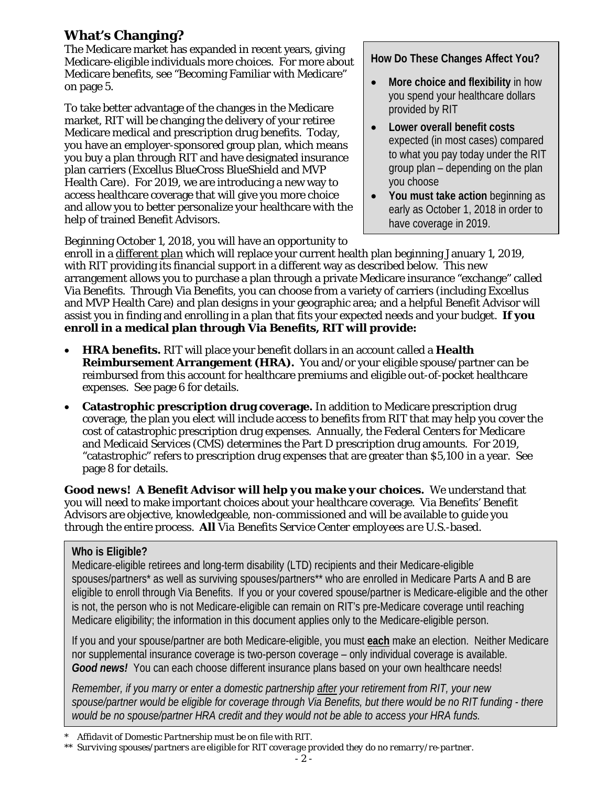## **What's Changing?**

The Medicare market has expanded in recent years, giving Medicare-eligible individuals more choices. For more about Medicare benefits, see "Becoming Familiar with Medicare" on page 5.

To take better advantage of the changes in the Medicare market, RIT will be changing the delivery of your retiree Medicare medical and prescription drug benefits. Today, you have an employer-sponsored group plan, which means you buy a plan through RIT and have designated insurance plan carriers (Excellus BlueCross BlueShield and MVP Health Care). For 2019, we are introducing a new way to access healthcare coverage that will give you more choice and allow you to better personalize your healthcare with the help of trained Benefit Advisors.

#### **How Do These Changes Affect You?**

- **More choice and flexibility** in how you spend your healthcare dollars provided by RIT
- **Lower overall benefit costs** expected (in most cases) compared to what you pay today under the RIT group plan – depending on the plan you choose
- **You must take action** beginning as early as October 1, 2018 in order to have coverage in 2019.

Beginning October 1, 2018, you will have an opportunity to

enroll in a *different plan* which will replace your current health plan beginning January 1, 2019, with RIT providing its financial support in a different way as described below. This new arrangement allows you to purchase a plan through a private Medicare insurance "exchange" called Via Benefits. Through Via Benefits, you can choose from a variety of carriers (including Excellus and MVP Health Care) and plan designs in your geographic area; and a helpful Benefit Advisor will assist you in finding and enrolling in a plan that fits your expected needs and your budget. **If you enroll in a medical plan through Via Benefits, RIT will provide:**

- **HRA benefits.** RIT will place your benefit dollars in an account called a **Health Reimbursement Arrangement (HRA).** You and/or your eligible spouse/partner can be reimbursed from this account for healthcare premiums and eligible out-of-pocket healthcare expenses. See page 6 for details.
- **Catastrophic prescription drug coverage.** In addition to Medicare prescription drug coverage, the plan you elect will include access to benefits from RIT that may help you cover the cost of catastrophic prescription drug expenses. Annually, the Federal Centers for Medicare and Medicaid Services (CMS) determines the Part D prescription drug amounts. For 2019, "catastrophic" refers to prescription drug expenses that are greater than \$5,100 in a year. See page 8 for details.

*Good news! A Benefit Advisor will help you make your choices.* We understand that you will need to make important choices about your healthcare coverage. Via Benefits' Benefit Advisors are objective, knowledgeable, non-commissioned and will be available to guide you through the entire process. *All Via Benefits Service Center employees are U.S.-based*.

### **Who is Eligible?**

Medicare-eligible retirees and long-term disability (LTD) recipients and their Medicare-eligible spouses/partners\* as well as surviving spouses/partners\*\* who are enrolled in Medicare Parts A and B are eligible to enroll through Via Benefits. If you or your covered spouse/partner is Medicare-eligible and the other is not, the person who is not Medicare-eligible can remain on RIT's pre-Medicare coverage until reaching Medicare eligibility; the information in this document applies only to the Medicare-eligible person.

If you and your spouse/partner are both Medicare-eligible, you must **each** make an election. Neither Medicare nor supplemental insurance coverage is two-person coverage – only individual coverage is available. *Good news!* You can each choose different insurance plans based on your own healthcare needs!

*Remember, if you marry or enter a domestic partnership after your retirement from RIT, your new spouse/partner would be eligible for coverage through Via Benefits, but there would be no RIT funding - there would be no spouse/partner HRA credit and they would not be able to access your HRA funds.*

*<sup>\*</sup> Affidavit of Domestic Partnership must be on file with RIT.*

*<sup>\*\*</sup> Surviving spouses/partners are eligible for RIT coverage provided they do no remarry/re-partner.*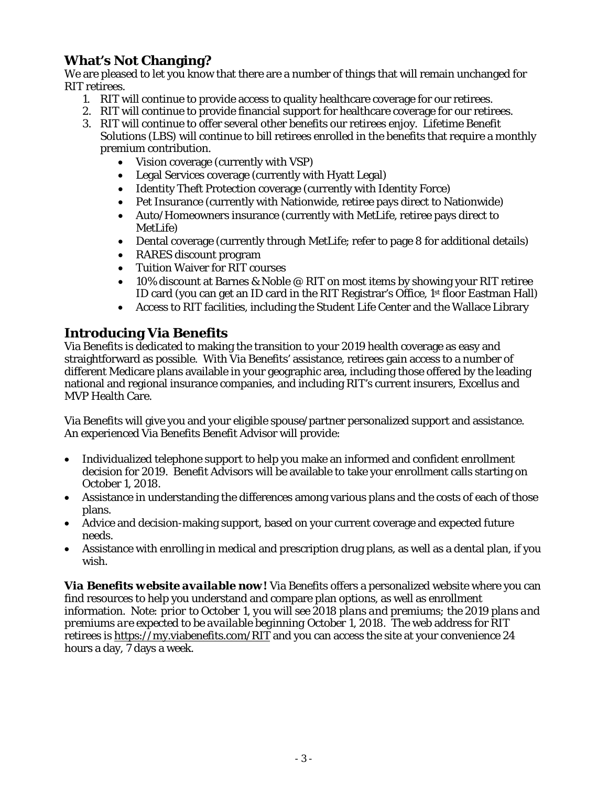## **What's Not Changing?**

We are pleased to let you know that there are a number of things that will remain unchanged for RIT retirees.

- 1. RIT will continue to provide access to quality healthcare coverage for our retirees.
- 2. RIT will continue to provide financial support for healthcare coverage for our retirees.
- 3. RIT will continue to offer several other benefits our retirees enjoy. Lifetime Benefit Solutions (LBS) will continue to bill retirees enrolled in the benefits that require a monthly premium contribution.
	- Vision coverage (currently with VSP)
	- Legal Services coverage (currently with Hyatt Legal)
	- Identity Theft Protection coverage (currently with Identity Force)
	- Pet Insurance (currently with Nationwide, retiree pays direct to Nationwide)
	- Auto/Homeowners insurance (currently with MetLife, retiree pays direct to MetLife)
	- Dental coverage (currently through MetLife; refer to page 8 for additional details)
	- RARES discount program
	- Tuition Waiver for RIT courses
	- 10% discount at Barnes & Noble @ RIT on most items by showing your RIT retiree ID card (you can get an ID card in the RIT Registrar's Office, 1<sup>st</sup> floor Eastman Hall)
	- Access to RIT facilities, including the Student Life Center and the Wallace Library

### **Introducing Via Benefits**

Via Benefits is dedicated to making the transition to your 2019 health coverage as easy and straightforward as possible. With Via Benefits' assistance, retirees gain access to a number of different Medicare plans available in your geographic area, including those offered by the leading national and regional insurance companies, and including RIT's current insurers, Excellus and MVP Health Care.

Via Benefits will give you and your eligible spouse/partner personalized support and assistance. An experienced Via Benefits Benefit Advisor will provide:

- Individualized telephone support to help you make an informed and confident enrollment decision for 2019. Benefit Advisors will be available to take your enrollment calls starting on October 1, 2018.
- Assistance in understanding the differences among various plans and the costs of each of those plans.
- Advice and decision-making support, based on your current coverage and expected future needs.
- Assistance with enrolling in medical and prescription drug plans, as well as a dental plan, if you wish.

*Via Benefits website available now!* Via Benefits offers a personalized website where you can find resources to help you understand and compare plan options, as well as enrollment information. *Note: prior to October 1, you will see 2018 plans and premiums; the 2019 plans and premiums are expected to be available beginning October 1, 2018.* The web address for RIT retirees is<https://my.viabenefits.com/RIT> and you can access the site at your convenience 24 hours a day, 7 days a week.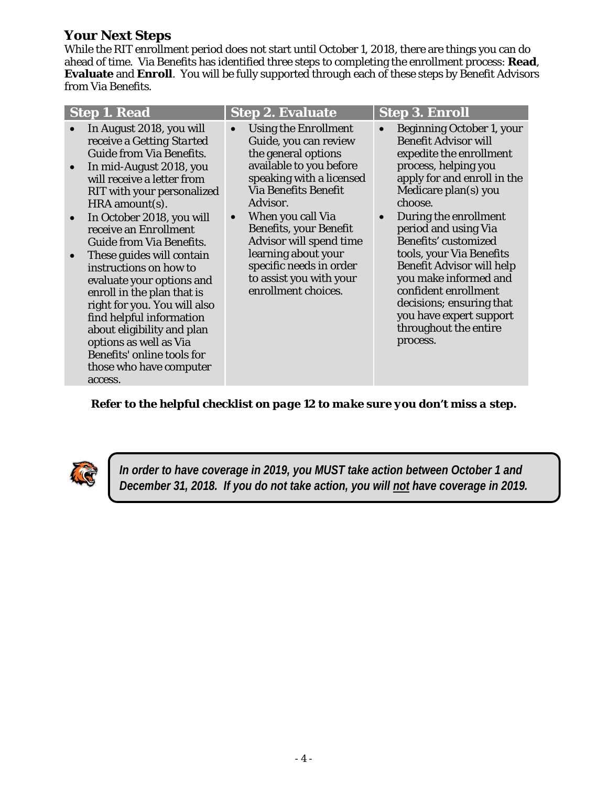### **Your Next Steps**

While the RIT enrollment period does not start until October 1, 2018, there are things you can do ahead of time. Via Benefits has identified three steps to completing the enrollment process: **Read**, **Evaluate** and **Enroll**. You will be fully supported through each of these steps by Benefit Advisors from Via Benefits.

| In August 2018, you will<br>Beginning October 1, your<br>Using the <i>Enrollment</i><br><b>Benefit Advisor will</b><br>Guide, you can review<br>receive a Getting Started<br><b>Guide from Via Benefits.</b><br>the general options<br>expedite the enrollment<br>available to you before<br>process, helping you<br>In mid-August 2018, you<br>$\bullet$<br>speaking with a licensed<br>apply for and enroll in the<br>will receive a letter from<br><b>Via Benefits Benefit</b><br>Medicare plan(s) you<br>RIT with your personalized<br>Advisor.<br>choose.<br>HRA amount(s).<br>During the enrollment<br>When you call Via<br>In October 2018, you will<br>$\bullet$<br>$\bullet$<br>$\bullet$<br><b>Benefits, your Benefit</b><br>period and using Via<br>receive an <i>Enrollment</i><br><b>Benefits' customized</b><br>Advisor will spend time<br><b>Guide from Via Benefits.</b><br>learning about your<br>tools, your Via Benefits<br>These guides will contain<br>$\bullet$<br>specific needs in order<br><b>Benefit Advisor will help</b><br>instructions on how to<br>you make informed and<br>to assist you with your<br>evaluate your options and<br>enrollment choices.<br>confident enrollment<br>enroll in the plan that is<br>decisions; ensuring that<br>right for you. You will also<br>you have expert support<br>find helpful information<br>throughout the entire<br>about eligibility and plan<br>options as well as Via<br>process.<br>Benefits' online tools for<br>those who have computer | <b>Step 1. Read</b> | <b>Step 2. Evaluate</b> | <b>Step 3. Enroll</b> |
|-----------------------------------------------------------------------------------------------------------------------------------------------------------------------------------------------------------------------------------------------------------------------------------------------------------------------------------------------------------------------------------------------------------------------------------------------------------------------------------------------------------------------------------------------------------------------------------------------------------------------------------------------------------------------------------------------------------------------------------------------------------------------------------------------------------------------------------------------------------------------------------------------------------------------------------------------------------------------------------------------------------------------------------------------------------------------------------------------------------------------------------------------------------------------------------------------------------------------------------------------------------------------------------------------------------------------------------------------------------------------------------------------------------------------------------------------------------------------------------------------------------------------|---------------------|-------------------------|-----------------------|
|                                                                                                                                                                                                                                                                                                                                                                                                                                                                                                                                                                                                                                                                                                                                                                                                                                                                                                                                                                                                                                                                                                                                                                                                                                                                                                                                                                                                                                                                                                                       | access.             |                         |                       |

*Refer to the helpful checklist on page 12 to make sure you don't miss a step.*



*In order to have coverage in 2019, you MUST take action between October 1 and December 31, 2018. If you do not take action, you will not have coverage in 2019.*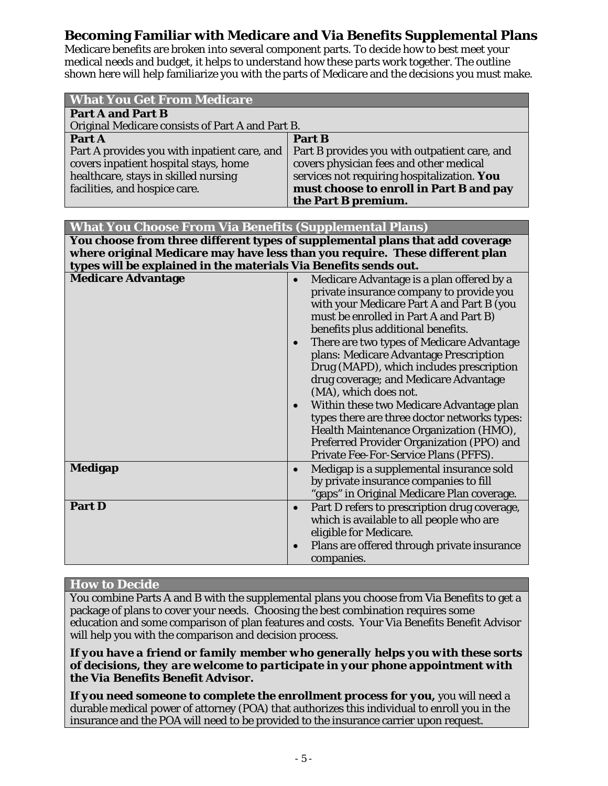### **Becoming Familiar with Medicare and Via Benefits Supplemental Plans**

Medicare benefits are broken into several component parts. To decide how to best meet your medical needs and budget, it helps to understand how these parts work together. The outline shown here will help familiarize you with the parts of Medicare and the decisions you must make.

| <b>What You Get From Medicare</b>                                                                                                                              |                                                                                                                                                                                                           |  |
|----------------------------------------------------------------------------------------------------------------------------------------------------------------|-----------------------------------------------------------------------------------------------------------------------------------------------------------------------------------------------------------|--|
| <b>Part A and Part B</b>                                                                                                                                       |                                                                                                                                                                                                           |  |
| Original Medicare consists of Part A and Part B.                                                                                                               |                                                                                                                                                                                                           |  |
| Part A                                                                                                                                                         | Part B                                                                                                                                                                                                    |  |
| Part A provides you with inpatient care, and<br>covers inpatient hospital stays, home<br>healthcare, stays in skilled nursing<br>facilities, and hospice care. | Part B provides you with outpatient care, and<br>covers physician fees and other medical<br>services not requiring hospitalization. You<br>must choose to enroll in Part B and pay<br>the Part B premium. |  |

| <b>What You Choose From Via Benefits (Supplemental Plans)</b>                 |
|-------------------------------------------------------------------------------|
| You choose from three different types of supplemental plans that add coverage |
| where original Medicare may have less than you require. These different plan  |
| types will be explained in the materials Via Benefits sends out.              |

| <b>Medicare Advantage</b> | Medicare Advantage is a plan offered by a<br>$\bullet$<br>private insurance company to provide you<br>with your Medicare Part A and Part B (you<br>must be enrolled in Part A and Part B)<br>benefits plus additional benefits.<br>There are two types of Medicare Advantage<br>$\bullet$<br>plans: Medicare Advantage Prescription<br>Drug (MAPD), which includes prescription<br>drug coverage; and Medicare Advantage<br>(MA), which does not.<br>Within these two Medicare Advantage plan<br>types there are three doctor networks types:<br>Health Maintenance Organization (HMO),<br>Preferred Provider Organization (PPO) and<br>Private Fee-For-Service Plans (PFFS). |
|---------------------------|-------------------------------------------------------------------------------------------------------------------------------------------------------------------------------------------------------------------------------------------------------------------------------------------------------------------------------------------------------------------------------------------------------------------------------------------------------------------------------------------------------------------------------------------------------------------------------------------------------------------------------------------------------------------------------|
| <b>Medigap</b>            | Medigap is a supplemental insurance sold<br>$\bullet$<br>by private insurance companies to fill<br>"gaps" in Original Medicare Plan coverage.                                                                                                                                                                                                                                                                                                                                                                                                                                                                                                                                 |
| <b>Part D</b>             | Part D refers to prescription drug coverage,<br>$\bullet$<br>which is available to all people who are<br>eligible for Medicare.<br>Plans are offered through private insurance<br>$\bullet$<br>companies.                                                                                                                                                                                                                                                                                                                                                                                                                                                                     |

#### **How to Decide**

You combine Parts A and B with the supplemental plans you choose from Via Benefits to get a package of plans to cover your needs. Choosing the best combination requires some education and some comparison of plan features and costs. Your Via Benefits Benefit Advisor will help you with the comparison and decision process.

*If you have a friend or family member who generally helps you with these sorts of decisions, they are welcome to participate in your phone appointment with the Via Benefits Benefit Advisor.*

*If you need someone to complete the enrollment process for you,* you will need a durable medical power of attorney (POA) that authorizes this individual to enroll you in the insurance and the POA will need to be provided to the insurance carrier upon request.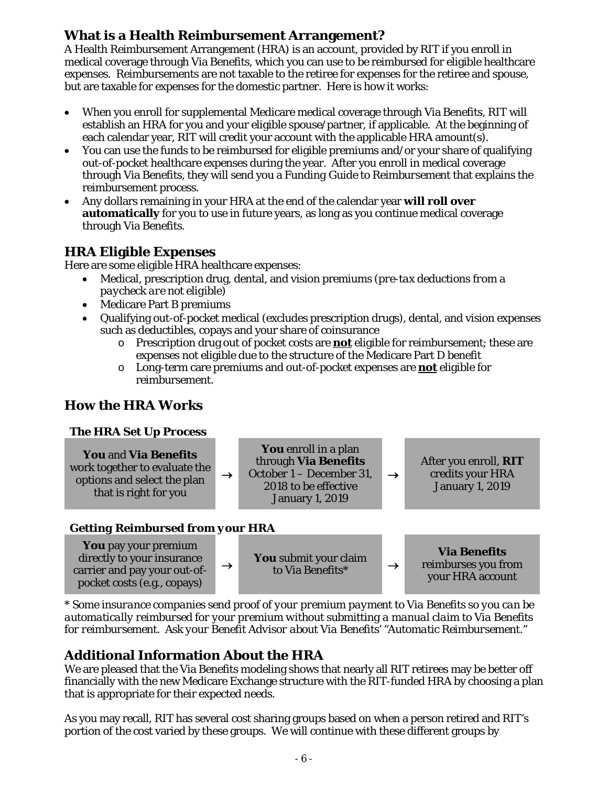### **What is a Health Reimbursement Arrangement?**

A Health Reimbursement Arrangement (HRA) is an account, provided by RIT if you enroll in medical coverage through Via Benefits, which you can use to be reimbursed for eligible healthcare expenses. Reimbursements are not taxable to the retiree for expenses for the retiree and spouse, but are taxable for expenses for the domestic partner. Here is how it works:

- When you enroll for supplemental Medicare medical coverage through Via Benefits, RIT will establish an HRA for you and your eligible spouse/partner, if applicable. At the beginning of each calendar year, RIT will credit your account with the applicable HRA amount(s).
- You can use the funds to be reimbursed for eligible premiums and/or your share of qualifying out-of-pocket healthcare expenses during the year. After you enroll in medical coverage through Via Benefits, they will send you a *Funding Guide to Reimbursement* that explains the reimbursement process.
- Any dollars remaining in your HRA at the end of the calendar year **will roll over automatically** for you to use in future years, as long as you continue medical coverage through Via Benefits.

### **HRA Eligible Expenses**

Here are some eligible HRA healthcare expenses:

- Medical, prescription drug, dental, and vision premiums *(pre-tax deductions from a paycheck are not eligible)*
- Medicare Part B premiums
- Qualifying out-of-pocket medical (excludes prescription drugs), dental, and vision expenses such as deductibles, copays and your share of coinsurance
	- o Prescription drug out of pocket costs are **not** eligible for reimbursement; these are expenses not eligible due to the structure of the Medicare Part D benefit
	- o Long-term care premiums and out-of-pocket expenses are **not** eligible for reimbursement.

### **How the HRA Works**

#### *The HRA Set Up Process*

**You** and **Via Benefits** work together to evaluate the options and select the plan that is right for you  $\rightarrow$ **You** enroll in a plan through **Via Benefits** October 1 – December 31, 2018 to be effective January 1, 2019  $\rightarrow$ After you enroll, **RIT** credits your HRA January 1, 2019

#### *Getting Reimbursed from your HRA*



*\* Some insurance companies send proof of your premium payment to Via Benefits so you can be automatically reimbursed for your premium without submitting a manual claim to Via Benefits for reimbursement. Ask your Benefit Advisor about Via Benefits' "Automatic Reimbursement."*

### **Additional Information About the HRA**

We are pleased that the Via Benefits modeling shows that nearly all RIT retirees may be better off financially with the new Medicare Exchange structure with the RIT-funded HRA by choosing a plan that is appropriate for their expected needs.

As you may recall, RIT has several cost sharing groups based on when a person retired and RIT's portion of the cost varied by these groups. We will continue with these different groups by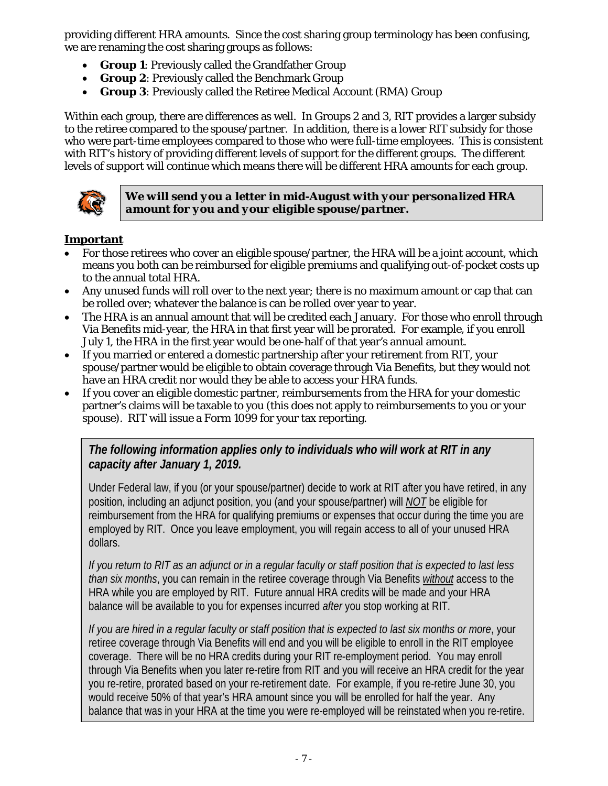providing different HRA amounts. Since the cost sharing group terminology has been confusing, we are renaming the cost sharing groups as follows:

- *Group 1*: Previously called the Grandfather Group
- *Group 2*: Previously called the Benchmark Group
- *Group 3*: Previously called the Retiree Medical Account (RMA) Group

Within each group, there are differences as well. In Groups 2 and 3, RIT provides a larger subsidy to the retiree compared to the spouse/partner. In addition, there is a lower RIT subsidy for those who were part-time employees compared to those who were full-time employees. This is consistent with RIT's history of providing different levels of support for the different groups. The different levels of support will continue which means there will be different HRA amounts for each group.



*We will send you a letter in mid-August with your personalized HRA amount for you and your eligible spouse/partner.*

#### **Important**

- For those retirees who cover an eligible spouse/partner, the HRA will be a joint account, which means you both can be reimbursed for eligible premiums and qualifying out-of-pocket costs up to the annual total HRA.
- Any unused funds will roll over to the next year; there is no maximum amount or cap that can be rolled over; whatever the balance is can be rolled over year to year.
- The HRA is an annual amount that will be credited each January. For those who enroll through Via Benefits mid-year, the HRA in that first year will be prorated. For example, if you enroll July 1, the HRA in the first year would be one-half of that year's annual amount.
- If you married or entered a domestic partnership after your retirement from RIT, your spouse/partner would be eligible to obtain coverage through Via Benefits, but they would not have an HRA credit nor would they be able to access your HRA funds.
- If you cover an eligible domestic partner, reimbursements from the HRA for your domestic partner's claims will be taxable to you (this does not apply to reimbursements to you or your spouse). RIT will issue a Form 1099 for your tax reporting.

*The following information applies only to individuals who will work at RIT in any capacity after January 1, 2019.*

Under Federal law, if you (or your spouse/partner) decide to work at RIT after you have retired, in any position, including an adjunct position, you (and your spouse/partner) will *NOT* be eligible for reimbursement from the HRA for qualifying premiums or expenses that occur during the time you are employed by RIT. Once you leave employment, you will regain access to all of your unused HRA dollars.

*If you return to RIT as an adjunct or in a regular faculty or staff position that is expected to last less than six months*, you can remain in the retiree coverage through Via Benefits *without* access to the HRA while you are employed by RIT. Future annual HRA credits will be made and your HRA balance will be available to you for expenses incurred *after* you stop working at RIT.

*If you are hired in a regular faculty or staff position that is expected to last six months or more*, your retiree coverage through Via Benefits will end and you will be eligible to enroll in the RIT employee coverage. There will be no HRA credits during your RIT re-employment period. You may enroll through Via Benefits when you later re-retire from RIT and you will receive an HRA credit for the year you re-retire, prorated based on your re-retirement date. For example, if you re-retire June 30, you would receive 50% of that year's HRA amount since you will be enrolled for half the year. Any balance that was in your HRA at the time you were re-employed will be reinstated when you re-retire.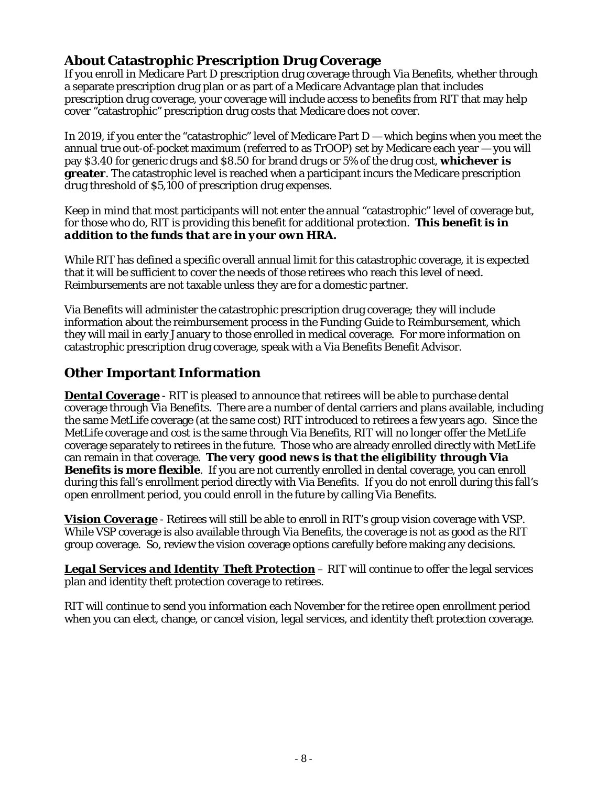### **About Catastrophic Prescription Drug Coverage**

If you enroll in Medicare Part D prescription drug coverage through Via Benefits, whether through a separate prescription drug plan or as part of a Medicare Advantage plan that includes prescription drug coverage, your coverage will include access to benefits from RIT that may help cover "catastrophic" prescription drug costs that Medicare does not cover.

In 2019, if you enter the "catastrophic" level of Medicare Part D — which begins when you meet the annual true out-of-pocket maximum (referred to as TrOOP) set by Medicare each year — you will pay \$3.40 for generic drugs and \$8.50 for brand drugs or 5% of the drug cost, **whichever is greater**. The catastrophic level is reached when a participant incurs the Medicare prescription drug threshold of \$5,100 of prescription drug expenses.

Keep in mind that most participants will not enter the annual "catastrophic" level of coverage but, for those who do, RIT is providing this benefit for additional protection. *This benefit is in addition to the funds that are in your own HRA.*

While RIT has defined a specific overall annual limit for this catastrophic coverage, it is expected that it will be sufficient to cover the needs of those retirees who reach this level of need. Reimbursements are not taxable unless they are for a domestic partner.

Via Benefits will administer the catastrophic prescription drug coverage; they will include information about the reimbursement process in the *Funding Guide to Reimbursement*, which they will mail in early January to those enrolled in medical coverage. For more information on catastrophic prescription drug coverage, speak with a Via Benefits Benefit Advisor.

## **Other Important Information**

**Dental Coverage** - RIT is pleased to announce that retirees will be able to purchase dental coverage through Via Benefits. There are a number of dental carriers and plans available, including the same MetLife coverage (at the same cost) RIT introduced to retirees a few years ago. Since the MetLife coverage and cost is the same through Via Benefits, RIT will no longer offer the MetLife coverage separately to retirees in the future. Those who are already enrolled directly with MetLife can remain in that coverage. *The very good news is that the eligibility through Via Benefits is more flexible*. If you are not currently enrolled in dental coverage, you can enroll during this fall's enrollment period directly with Via Benefits. If you do not enroll during this fall's open enrollment period, you could enroll in the future by calling Via Benefits.

*Vision Coverage* - Retirees will still be able to enroll in RIT's group vision coverage with VSP. While VSP coverage is also available through Via Benefits, the coverage is not as good as the RIT group coverage. So, review the vision coverage options carefully before making any decisions.

*Legal Services and Identity Theft Protection* – RIT will continue to offer the legal services plan and identity theft protection coverage to retirees.

RIT will continue to send you information each November for the retiree open enrollment period when you can elect, change, or cancel vision, legal services, and identity theft protection coverage.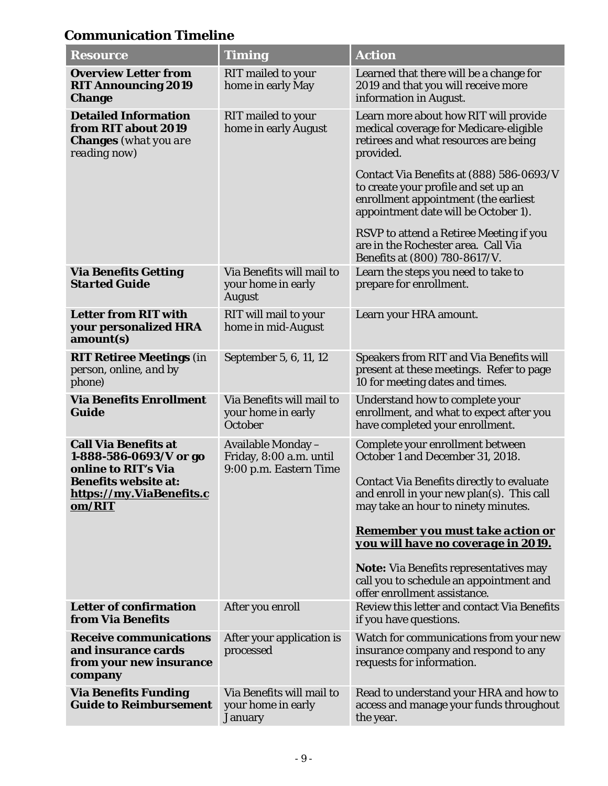# **Communication Timeline**

| <b>Resource</b>                                                                                                                                   | <b>Timing</b>                                                           | <b>Action</b>                                                                                                                                                                                                |  |
|---------------------------------------------------------------------------------------------------------------------------------------------------|-------------------------------------------------------------------------|--------------------------------------------------------------------------------------------------------------------------------------------------------------------------------------------------------------|--|
| <b>Overview Letter from</b><br><b>RIT Announcing 2019</b><br><b>Change</b>                                                                        | <b>RIT</b> mailed to your<br>home in early May                          | Learned that there will be a change for<br>2019 and that you will receive more<br>information in August.                                                                                                     |  |
| <b>Detailed Information</b><br>from RIT about 2019<br><b>Changes</b> (what you are<br>reading now)                                                | <b>RIT</b> mailed to your<br>home in early August                       | Learn more about how RIT will provide<br>medical coverage for Medicare-eligible<br>retirees and what resources are being<br>provided.                                                                        |  |
|                                                                                                                                                   |                                                                         | Contact Via Benefits at (888) 586-0693/V<br>to create your profile and set up an<br>enrollment appointment (the earliest<br>appointment date will be October 1).                                             |  |
|                                                                                                                                                   |                                                                         | RSVP to attend a Retiree Meeting if you<br>are in the Rochester area. Call Via<br>Benefits at (800) 780-8617/V.                                                                                              |  |
| <b>Via Benefits Getting</b><br><b>Started Guide</b>                                                                                               | Via Benefits will mail to<br>your home in early<br><b>August</b>        | Learn the steps you need to take to<br>prepare for enrollment.                                                                                                                                               |  |
| <b>Letter from RIT with</b><br>your personalized HRA<br>amount(s)                                                                                 | RIT will mail to your<br>home in mid-August                             | Learn your HRA amount.                                                                                                                                                                                       |  |
| <b>RIT Retiree Meetings (in</b><br>person, online, and by<br><i>phone</i> )                                                                       | September 5, 6, 11, 12                                                  | Speakers from RIT and Via Benefits will<br>present at these meetings. Refer to page<br>10 for meeting dates and times.                                                                                       |  |
| <b>Via Benefits Enrollment</b><br><b>Guide</b>                                                                                                    | Via Benefits will mail to<br>your home in early<br>October              | Understand how to complete your<br>enrollment, and what to expect after you<br>have completed your enrollment.                                                                                               |  |
| <b>Call Via Benefits at</b><br>1-888-586-0693/V or go<br>online to RIT's Via<br><b>Benefits website at:</b><br>https://my.ViaBenefits.c<br>om/RIT | Available Monday -<br>Friday, 8:00 a.m. until<br>9:00 p.m. Eastern Time | Complete your enrollment between<br>October 1 and December 31, 2018.<br><b>Contact Via Benefits directly to evaluate</b><br>and enroll in your new plan(s). This call<br>may take an hour to ninety minutes. |  |
|                                                                                                                                                   |                                                                         | <b>Remember you must take action or</b><br>you will have no coverage in 2019.                                                                                                                                |  |
|                                                                                                                                                   |                                                                         | <b>Note:</b> Via Benefits representatives may<br>call you to schedule an appointment and<br>offer enrollment assistance.                                                                                     |  |
| <b>Letter of confirmation</b><br>from Via Benefits                                                                                                | After you enroll                                                        | Review this letter and contact Via Benefits<br>if you have questions.                                                                                                                                        |  |
| <b>Receive communications</b><br>and insurance cards<br>from your new insurance<br>company                                                        | After your application is<br>processed                                  | Watch for communications from your new<br>insurance company and respond to any<br>requests for information.                                                                                                  |  |
| <b>Via Benefits Funding</b><br><b>Guide to Reimbursement</b>                                                                                      | Via Benefits will mail to<br>your home in early<br><b>January</b>       | Read to understand your HRA and how to<br>access and manage your funds throughout<br>the year.                                                                                                               |  |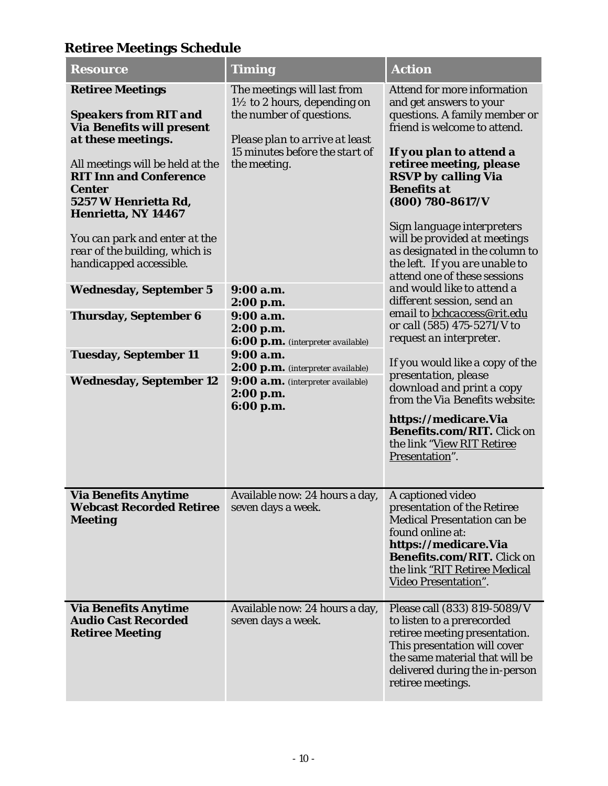## **Retiree Meetings Schedule**

| <b>Resource</b>                                                                                                                                                                                                                                                                                                                                                                                                                                                                         | <b>Timing</b>                                                                                                                                                                                                                                                                                                                                                                                    | <b>Action</b>                                                                                                                                                                                                                                                                                                                                                                                                                                                                                                                                                                                                                                                                                                                                                                                                           |
|-----------------------------------------------------------------------------------------------------------------------------------------------------------------------------------------------------------------------------------------------------------------------------------------------------------------------------------------------------------------------------------------------------------------------------------------------------------------------------------------|--------------------------------------------------------------------------------------------------------------------------------------------------------------------------------------------------------------------------------------------------------------------------------------------------------------------------------------------------------------------------------------------------|-------------------------------------------------------------------------------------------------------------------------------------------------------------------------------------------------------------------------------------------------------------------------------------------------------------------------------------------------------------------------------------------------------------------------------------------------------------------------------------------------------------------------------------------------------------------------------------------------------------------------------------------------------------------------------------------------------------------------------------------------------------------------------------------------------------------------|
| <b>Retiree Meetings</b><br><b>Speakers from RIT and</b><br><b>Via Benefits will present</b><br>at these meetings.<br>All meetings will be held at the<br><b>RIT Inn and Conference</b><br><b>Center</b><br>5257 W Henrietta Rd,<br>Henrietta, NY 14467<br>You can park and enter at the<br>rear of the building, which is<br>handicapped accessible.<br><b>Wednesday, September 5</b><br><b>Thursday, September 6</b><br><b>Tuesday, September 11</b><br><b>Wednesday, September 12</b> | The meetings will last from<br>$1\frac{1}{2}$ to 2 hours, depending on<br>the number of questions.<br>Please plan to arrive at least<br>15 minutes before the start of<br>the meeting.<br>9:00 a.m.<br>2:00 p.m.<br>9:00 a.m.<br>2:00 p.m.<br>6:00 p.m. (interpreter available)<br>9:00 a.m.<br>2:00 p.m. (interpreter available)<br>9:00 a.m. (interpreter available)<br>2:00 p.m.<br>6:00 p.m. | Attend for more information<br>and get answers to your<br>questions. A family member or<br>friend is welcome to attend.<br>If you plan to attend a<br>retiree meeting, please<br><b>RSVP</b> by calling Via<br><b>Benefits at</b><br>$(800) 780 - 8617/V$<br>Sign language interpreters<br>will be provided at meetings<br>as designated in the column to<br>the left. If you are unable to<br>attend one of these sessions<br>and would like to attend a<br>different session, send an<br>email to bchcaccess@rit.edu<br>or call (585) 475-5271/V to<br>request an interpreter.<br>If you would like a copy of the<br>presentation, please<br>download and print a copy<br>from the Via Benefits website:<br>https://medicare.Via<br><b>Benefits.com/RIT.</b> Click on<br>the link "View RIT Retiree<br>Presentation". |
| <b>Via Benefits Anytime</b><br><b>Webcast Recorded Retiree</b><br><b>Meeting</b>                                                                                                                                                                                                                                                                                                                                                                                                        | Available now: 24 hours a day,   A captioned video<br>seven days a week.                                                                                                                                                                                                                                                                                                                         | presentation of the Retiree<br><b>Medical Presentation can be</b><br>found online at:<br>https://medicare.Via<br>Benefits.com/RIT. Click on<br>the link "RIT Retiree Medical<br><b>Video Presentation".</b>                                                                                                                                                                                                                                                                                                                                                                                                                                                                                                                                                                                                             |
| <b>Via Benefits Anytime</b><br><b>Audio Cast Recorded</b><br><b>Retiree Meeting</b>                                                                                                                                                                                                                                                                                                                                                                                                     | Available now: 24 hours a day,<br>seven days a week.                                                                                                                                                                                                                                                                                                                                             | Please call (833) 819-5089/V<br>to listen to a prerecorded<br>retiree meeting presentation.<br>This presentation will cover<br>the same material that will be<br>delivered during the in-person<br>retiree meetings.                                                                                                                                                                                                                                                                                                                                                                                                                                                                                                                                                                                                    |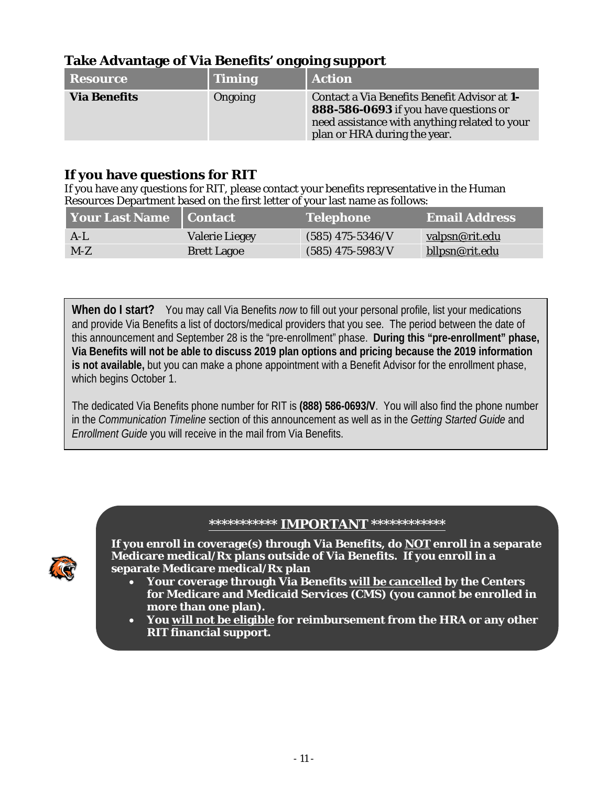### **Take Advantage of Via Benefits' ongoing support**

| Resource            | Timing  | <b>Action</b>                                                                                                                                                          |
|---------------------|---------|------------------------------------------------------------------------------------------------------------------------------------------------------------------------|
| <b>Via Benefits</b> | Ongoing | Contact a Via Benefits Benefit Advisor at 1-<br>888-586-0693 if you have questions or<br>need assistance with anything related to your<br>plan or HRA during the year. |

### **If you have questions for RIT**

If you have any questions for RIT, please contact your benefits representative in the Human Resources Department based on the first letter of your last name as follows:

| Your Last Name   Contact |                       | <b>Telephone</b>   | <b>Email Address</b>  |
|--------------------------|-----------------------|--------------------|-----------------------|
| $A-L$                    | <b>Valerie Liegey</b> | $(585)$ 475-5346/V | <u>valpsn@rit.edu</u> |
| $M-Z$                    | <b>Brett Lagoe</b>    | $(585)$ 475-5983/V | bllpsn@rit.edu        |

**When do I start?** You may call Via Benefits *now* to fill out your personal profile, list your medications and provide Via Benefits a list of doctors/medical providers that you see. The period between the date of this announcement and September 28 is the "pre-enrollment" phase. **During this "pre-enrollment" phase, Via Benefits will not be able to discuss 2019 plan options and pricing because the 2019 information is not available,** but you can make a phone appointment with a Benefit Advisor for the enrollment phase, which begins October 1.

The dedicated Via Benefits phone number for RIT is **(888) 586-0693/V**. You will also find the phone number in the *Communication Timeline* section of this announcement as well as in the *Getting Started Guide* and *Enrollment Guide* you will receive in the mail from Via Benefits.

### **\*\*\*\*\*\*\*\*\*\*\* IMPORTANT \*\*\*\*\*\*\*\*\*\*\*\***



**If you enroll in coverage(s) through Via Benefits, do NOT enroll in a separate Medicare medical/Rx plans outside of Via Benefits. If you enroll in a separate Medicare medical/Rx plan**

- **Your coverage through Via Benefits will be cancelled by the Centers for Medicare and Medicaid Services (CMS) (you cannot be enrolled in more than one plan).**
- **You will not be eligible for reimbursement from the HRA or any other RIT financial support.**